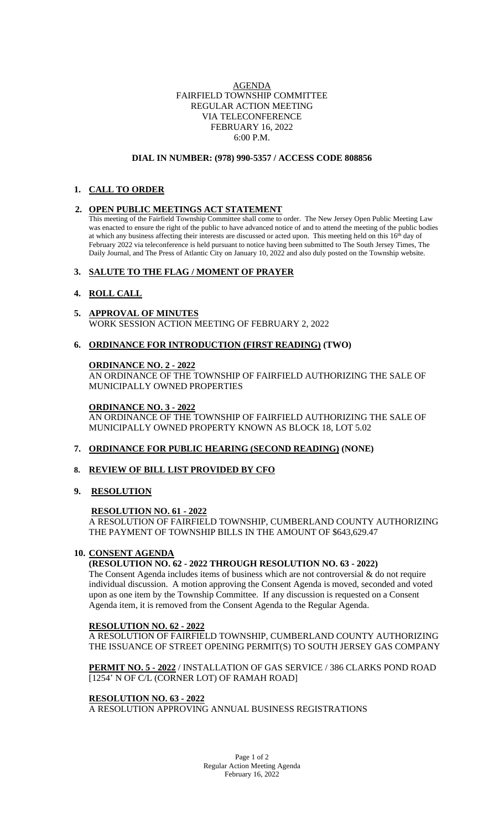### AGENDA FAIRFIELD TOWNSHIP COMMITTEE REGULAR ACTION MEETING VIA TELECONFERENCE FEBRUARY 16, 2022 6:00 P.M.

#### **DIAL IN NUMBER: (978) 990-5357 / ACCESS CODE 808856**

# **1. CALL TO ORDER**

### **2. OPEN PUBLIC MEETINGS ACT STATEMENT**

This meeting of the Fairfield Township Committee shall come to order. The New Jersey Open Public Meeting Law was enacted to ensure the right of the public to have advanced notice of and to attend the meeting of the public bodies at which any business affecting their interests are discussed or acted upon. This meeting held on this 16<sup>th</sup> day of February 2022 via teleconference is held pursuant to notice having been submitted to The South Jersey Times, The Daily Journal, and The Press of Atlantic City on January 10, 2022 and also duly posted on the Township website.

## **3. SALUTE TO THE FLAG / MOMENT OF PRAYER**

## **4. ROLL CALL**

- **5. APPROVAL OF MINUTES** WORK SESSION ACTION MEETING OF FEBRUARY 2, 2022
- **6. ORDINANCE FOR INTRODUCTION (FIRST READING) (TWO)**

## **ORDINANCE NO. 2 - 2022**

AN ORDINANCE OF THE TOWNSHIP OF FAIRFIELD AUTHORIZING THE SALE OF MUNICIPALLY OWNED PROPERTIES

#### **ORDINANCE NO. 3 - 2022**

AN ORDINANCE OF THE TOWNSHIP OF FAIRFIELD AUTHORIZING THE SALE OF MUNICIPALLY OWNED PROPERTY KNOWN AS BLOCK 18, LOT 5.02

### **7. ORDINANCE FOR PUBLIC HEARING (SECOND READING) (NONE)**

### **8. REVIEW OF BILL LIST PROVIDED BY CFO**

**9. RESOLUTION**

### **RESOLUTION NO. 61 - 2022**

A RESOLUTION OF FAIRFIELD TOWNSHIP, CUMBERLAND COUNTY AUTHORIZING THE PAYMENT OF TOWNSHIP BILLS IN THE AMOUNT OF \$643,629.47

### **10. CONSENT AGENDA**

### **(RESOLUTION NO. 62 - 2022 THROUGH RESOLUTION NO. 63 - 2022)**

The Consent Agenda includes items of business which are not controversial & do not require individual discussion. A motion approving the Consent Agenda is moved, seconded and voted upon as one item by the Township Committee. If any discussion is requested on a Consent Agenda item, it is removed from the Consent Agenda to the Regular Agenda.

### **RESOLUTION NO. 62 - 2022**

A RESOLUTION OF FAIRFIELD TOWNSHIP, CUMBERLAND COUNTY AUTHORIZING THE ISSUANCE OF STREET OPENING PERMIT(S) TO SOUTH JERSEY GAS COMPANY

**PERMIT NO. 5 - 2022** / INSTALLATION OF GAS SERVICE / 386 CLARKS POND ROAD [1254' N OF C/L (CORNER LOT) OF RAMAH ROAD]

#### **RESOLUTION NO. 63 - 2022**

A RESOLUTION APPROVING ANNUAL BUSINESS REGISTRATIONS

Page 1 of 2 Regular Action Meeting Agenda February 16, 2022